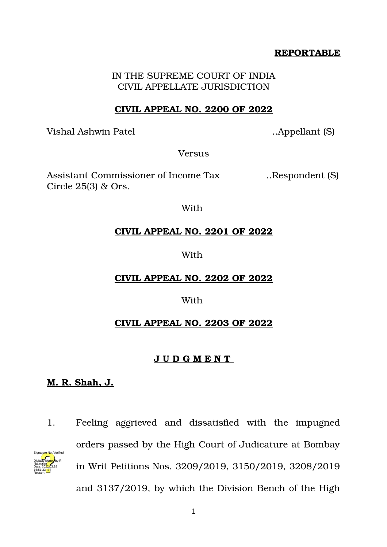## **REPORTABLE**

IN THE SUPREME COURT OF INDIA CIVIL APPELLATE JURISDICTION

## **CIVIL APPEAL NO. 2200 OF 2022**

Vishal Ashwin Patel ..Appellant (S)

**Versus** 

Assistant Commissioner of Income Tax ... Respondent (S) Circle 25(3) & Ors.

With

## **CIVIL APPEAL NO. 2201 OF 2022**

#### With

# **CIVIL APPEAL NO. 2202 OF 2022**

#### With

# **CIVIL APPEAL NO. 2203 OF 2022**

#### **J U D G M E N T**

# **M. R. Shah, J.**

Natarajan

Reason:

1. Feeling aggrieved and dissatisfied with the impugned orders passed by the High Court of Judicature at Bombay in Writ Petitions Nos. 3209/2019, 3150/2019, 3208/2019 and 3137/2019, by which the Division Bench of the High Digitally signed by R Date: 2022.03.28 16:51:33 IST Signature Not Verified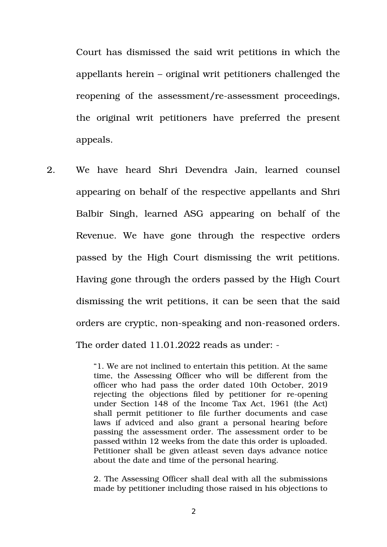Court has dismissed the said writ petitions in which the appellants herein – original writ petitioners challenged the reopening of the assessment/re-assessment proceedings, the original writ petitioners have preferred the present appeals.

2. We have heard Shri Devendra Jain, learned counsel appearing on behalf of the respective appellants and Shri Balbir Singh, learned ASG appearing on behalf of the Revenue. We have gone through the respective orders passed by the High Court dismissing the writ petitions. Having gone through the orders passed by the High Court dismissing the writ petitions, it can be seen that the said orders are cryptic, non-speaking and non-reasoned orders. The order dated 11.01.2022 reads as under: -

> "1. We are not inclined to entertain this petition. At the same time, the Assessing Officer who will be different from the officer who had pass the order dated 10th October, 2019 rejecting the objections filed by petitioner for re-opening under Section 148 of the Income Tax Act, 1961 (the Act) shall permit petitioner to file further documents and case laws if adviced and also grant a personal hearing before passing the assessment order. The assessment order to be passed within 12 weeks from the date this order is uploaded. Petitioner shall be given atleast seven days advance notice about the date and time of the personal hearing.

> 2. The Assessing Officer shall deal with all the submissions made by petitioner including those raised in his objections to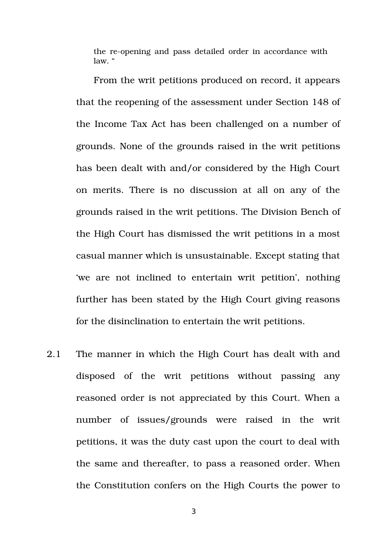the re-opening and pass detailed order in accordance with  $law$  "

From the writ petitions produced on record, it appears that the reopening of the assessment under Section 148 of the Income Tax Act has been challenged on a number of grounds. None of the grounds raised in the writ petitions has been dealt with and/or considered by the High Court on merits. There is no discussion at all on any of the grounds raised in the writ petitions. The Division Bench of the High Court has dismissed the writ petitions in a most casual manner which is unsustainable. Except stating that 'we are not inclined to entertain writ petition', nothing further has been stated by the High Court giving reasons for the disinclination to entertain the writ petitions.

2.1 The manner in which the High Court has dealt with and disposed of the writ petitions without passing any reasoned order is not appreciated by this Court. When a number of issues/grounds were raised in the writ petitions, it was the duty cast upon the court to deal with the same and thereafter, to pass a reasoned order. When the Constitution confers on the High Courts the power to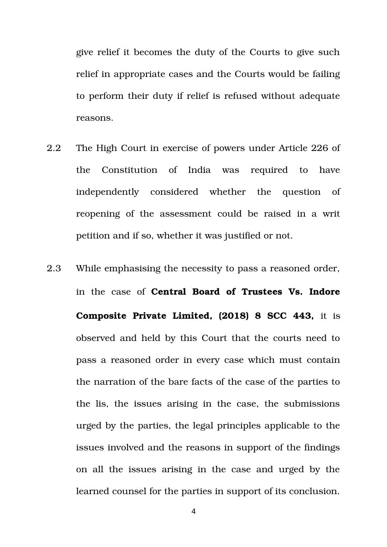give relief it becomes the duty of the Courts to give such relief in appropriate cases and the Courts would be failing to perform their duty if relief is refused without adequate reasons.

- 2.2 The High Court in exercise of powers under Article 226 of the Constitution of India was required to have independently considered whether the question of reopening of the assessment could be raised in a writ petition and if so, whether it was justified or not.
- 2.3 While emphasising the necessity to pass a reasoned order, in the case of **Central Board of Trustees Vs. Indore Composite Private Limited, (2018) 8 SCC 443,** it is observed and held by this Court that the courts need to pass a reasoned order in every case which must contain the narration of the bare facts of the case of the parties to the lis, the issues arising in the case, the submissions urged by the parties, the legal principles applicable to the issues involved and the reasons in support of the findings on all the issues arising in the case and urged by the learned counsel for the parties in support of its conclusion.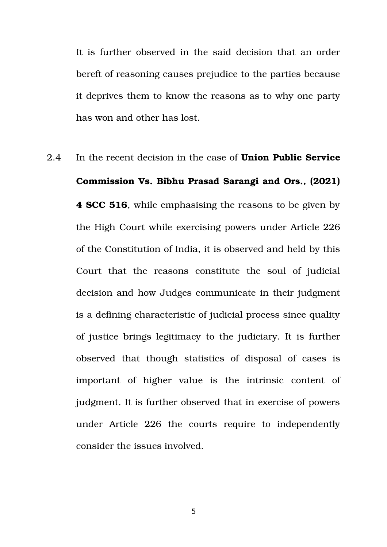It is further observed in the said decision that an order bereft of reasoning causes prejudice to the parties because it deprives them to know the reasons as to why one party has won and other has lost.

2.4 In the recent decision in the case of **Union Public Service Commission Vs. Bibhu Prasad Sarangi and Ors., (2021) 4 SCC 516**, while emphasising the reasons to be given by the High Court while exercising powers under Article 226 of the Constitution of India, it is observed and held by this Court that the reasons constitute the soul of judicial decision and how Judges communicate in their judgment is a defining characteristic of judicial process since quality of justice brings legitimacy to the judiciary. It is further observed that though statistics of disposal of cases is important of higher value is the intrinsic content of judgment. It is further observed that in exercise of powers under Article 226 the courts require to independently consider the issues involved.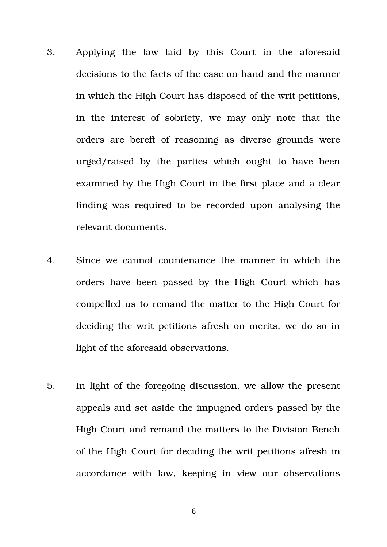- 3. Applying the law laid by this Court in the aforesaid decisions to the facts of the case on hand and the manner in which the High Court has disposed of the writ petitions, in the interest of sobriety, we may only note that the orders are bereft of reasoning as diverse grounds were urged/raised by the parties which ought to have been examined by the High Court in the first place and a clear finding was required to be recorded upon analysing the relevant documents.
- 4. Since we cannot countenance the manner in which the orders have been passed by the High Court which has compelled us to remand the matter to the High Court for deciding the writ petitions afresh on merits, we do so in light of the aforesaid observations.
- 5. In light of the foregoing discussion, we allow the present appeals and set aside the impugned orders passed by the High Court and remand the matters to the Division Bench of the High Court for deciding the writ petitions afresh in accordance with law, keeping in view our observations